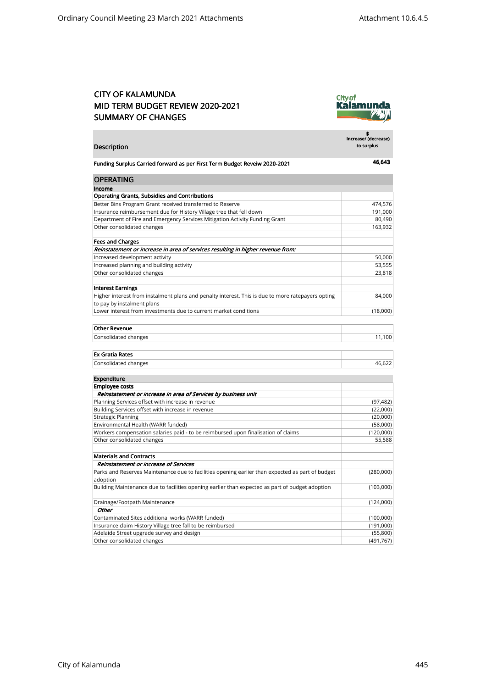## CITY OF KALAMUNDA MID TERM BUDGET REVIEW 2020-2021 SUMMARY OF CHANGES



| Description                                                                                                         | \$<br>Increase/ (decrease)<br>to surplus |
|---------------------------------------------------------------------------------------------------------------------|------------------------------------------|
| Funding Surplus Carried forward as per First Term Budget Reveiw 2020-2021                                           | 46,643                                   |
| <b>OPERATING</b>                                                                                                    |                                          |
| Income                                                                                                              |                                          |
| <b>Operating Grants, Subsidies and Contributions</b>                                                                |                                          |
| Better Bins Program Grant received transferred to Reserve                                                           | 474,576                                  |
| Insurance reimbursement due for History Village tree that fell down                                                 | 191,000                                  |
| Department of Fire and Emergency Services Mitigation Activity Funding Grant                                         | 80,490                                   |
| Other consolidated changes                                                                                          | 163,932                                  |
| <b>Fees and Charges</b>                                                                                             |                                          |
| Reinstatement or increase in area of services resulting in higher revenue from:                                     |                                          |
| Increased development activity                                                                                      | 50,000                                   |
| Increased planning and building activity                                                                            | 53,555                                   |
| Other consolidated changes                                                                                          | 23,818                                   |
| <b>Interest Earnings</b>                                                                                            |                                          |
| Higher interest from instalment plans and penalty interest. This is due to more ratepayers opting                   | 84,000                                   |
| to pay by instalment plans                                                                                          |                                          |
| Lower interest from investments due to current market conditions                                                    | (18,000)                                 |
| <b>Other Revenue</b>                                                                                                |                                          |
| Consolidated changes                                                                                                | 11,100                                   |
|                                                                                                                     |                                          |
| <b>Ex Gratia Rates</b>                                                                                              |                                          |
| Consolidated changes                                                                                                | 46,622                                   |
|                                                                                                                     |                                          |
| <b>Expenditure</b>                                                                                                  |                                          |
| <b>Employee costs</b>                                                                                               |                                          |
| Reinstatement or increase in area of Services by business unit<br>Planning Services offset with increase in revenue | (97, 482)                                |
| Building Services offset with increase in revenue                                                                   | (22,000)                                 |
| <b>Strategic Planning</b>                                                                                           | (20,000)                                 |
| Environmental Health (WARR funded)                                                                                  | (58,000)                                 |
| Workers compensation salaries paid - to be reimbursed upon finalisation of claims                                   | (120,000)                                |
| Other consolidated changes                                                                                          | 55,588                                   |
|                                                                                                                     |                                          |
| <b>Materials and Contracts</b>                                                                                      |                                          |
| Reinstatement or increase of Services                                                                               |                                          |
| Parks and Reserves Maintenance due to facilities opening earlier than expected as part of budget                    | (280,000)                                |
| adoption<br>Building Maintenance due to facilities opening earlier than expected as part of budget adoption         | (103,000)                                |
| Drainage/Footpath Maintenance                                                                                       | (124,000)                                |
| Other                                                                                                               |                                          |
| Contaminated Sites additional works (WARR funded)                                                                   | (100,000)                                |
| Insurance claim History Village tree fall to be reimbursed                                                          | (191,000)                                |
| Adelaide Street upgrade survey and design                                                                           | (55,800)                                 |
| Other consolidated changes                                                                                          | (491, 767)                               |
|                                                                                                                     |                                          |